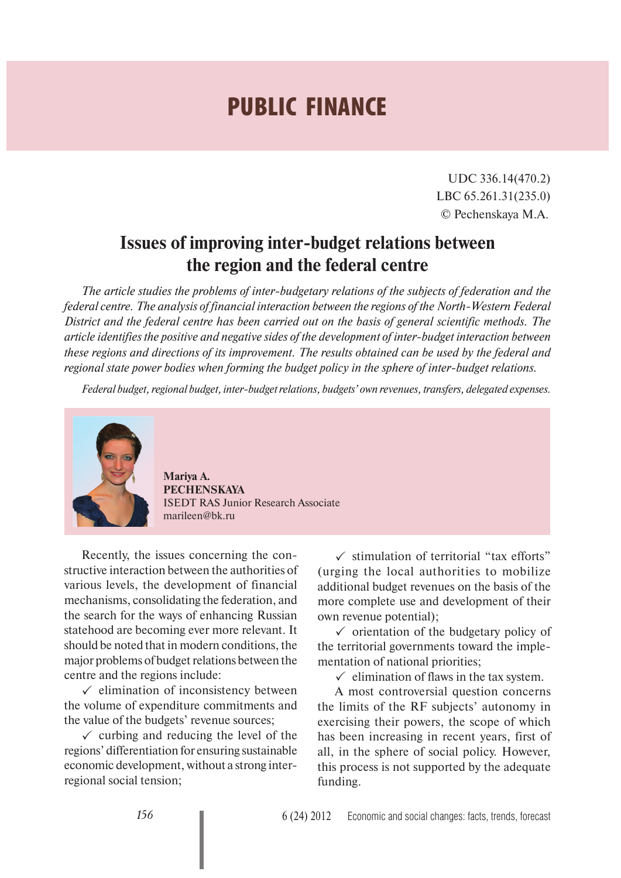## **PUBLIC FINANCE**

UDC 336.14(470.2) LBC 65.261.31(235.0) © Pechenskaya M.A.

## **Issues of improving inter-budget relations between the region and the federal centre**

*The article studies the problems of inter-budgetary relations of the subjects of federation and the federal centre. The analysis of financial interaction between the regions of the North-Western Federal District and the federal centre has been carried out on the basis of general scientific methods. The article identifies the positive and negative sides of the development of inter-budget interaction between these regions and directions of its improvement. The results obtained can be used by the federal and regional state power bodies when forming the budget policy in the sphere of inter-budget relations.*

*Federal budget, regional budget, inter-budget relations, budgets' own revenues, transfers, delegated expenses.*



**Mariya A. PECHENSKAYA** ISEDT RAS Junior Research Associate marileen@bk.ru

Recently, the issues concerning the constructive interaction between the authorities of various levels, the development of financial mechanisms, consolidating the federation, and the search for the ways of enhancing Russian statehood are becoming ever more relevant. It should be noted that in modern conditions, the major problems of budget relations between the centre and the regions include:

 $\checkmark$  elimination of inconsistency between the volume of expenditure commitments and the value of the budgets' revenue sources;

 $\checkmark$  curbing and reducing the level of the regions' differentiation for ensuring sustainable economic development, without a strong interregional social tension;

 $\checkmark$  stimulation of territorial "tax efforts" (urging the local authorities to mobilize additional budget revenues on the basis of the more complete use and development of their own revenue potential);

 $\checkmark$  orientation of the budgetary policy of the territorial governments toward the implementation of national priorities;

 $\checkmark$  elimination of flaws in the tax system.

A most controversial question concerns the limits of the RF subjects' autonomy in exercising their powers, the scope of which has been increasing in recent years, first of all, in the sphere of social policy. However, this process is not supported by the adequate funding.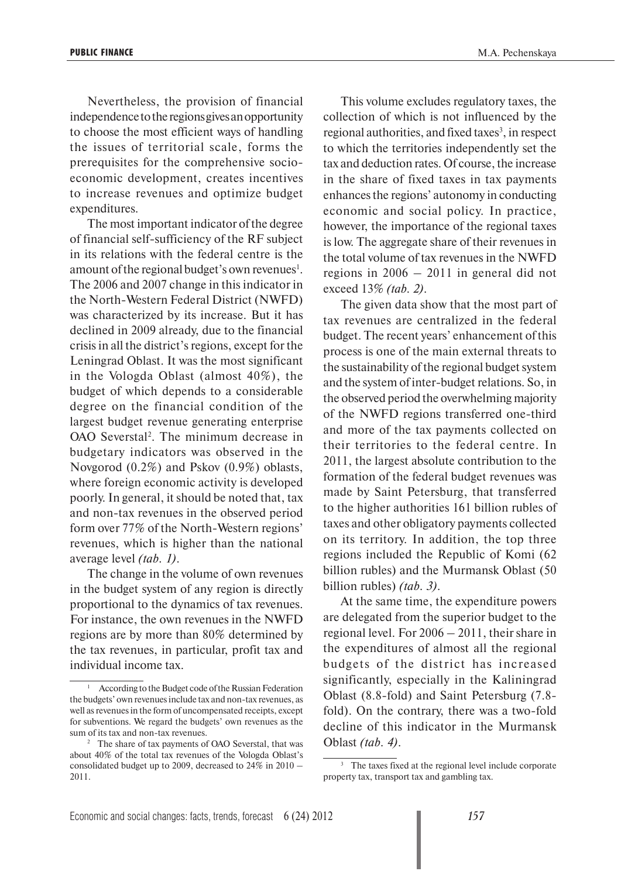Nevertheless, the provision of financial independence to the regions gives an opportunity to choose the most efficient ways of handling the issues of territorial scale, forms the prerequisites for the comprehensive socioeconomic development, creates incentives to increase revenues and optimize budget expenditures.

The most important indicator of the degree of financial self-sufficiency of the RF subject in its relations with the federal centre is the amount of the regional budget's own revenues<sup>1</sup>. The 2006 and 2007 change in this indicator in the North-Western Federal District (NWFD) was characterized by its increase. But it has declined in 2009 already, due to the financial crisis in all the district's regions, except for the Leningrad Oblast. It was the most significant in the Vologda Oblast (almost 40%), the budget of which depends to a considerable degree on the financial condition of the largest budget revenue generating enterprise OAO Severstal2 . The minimum decrease in budgetary indicators was observed in the Novgorod (0.2%) and Pskov (0.9%) oblasts, where foreign economic activity is developed poorly. In general, it should be noted that, tax and non-tax revenues in the observed period form over 77% of the North-Western regions' revenues, which is higher than the national average level *(tab. 1)*.

The change in the volume of own revenues in the budget system of any region is directly proportional to the dynamics of tax revenues. For instance, the own revenues in the NWFD regions are by more than 80% determined by the tax revenues, in particular, profit tax and individual income tax.

This volume excludes regulatory taxes, the collection of which is not influenced by the regional authorities, and fixed taxes<sup>3</sup>, in respect to which the territories independently set the tax and deduction rates. Of course, the increase in the share of fixed taxes in tax payments enhances the regions' autonomy in conducting economic and social policy. In practice, however, the importance of the regional taxes is low. The aggregate share of their revenues in the total volume of tax revenues in the NWFD regions in 2006 – 2011 in general did not exceed 13% *(tab. 2)*.

The given data show that the most part of tax revenues are centralized in the federal budget. The recent years' enhancement of this process is one of the main external threats to the sustainability of the regional budget system and the system of inter-budget relations. So, in the observed period the overwhelming majority of the NWFD regions transferred one-third and more of the tax payments collected on their territories to the federal centre. In 2011, the largest absolute contribution to the formation of the federal budget revenues was made by Saint Petersburg, that transferred to the higher authorities 161 billion rubles of taxes and other obligatory payments collected on its territory. In addition, the top three regions included the Republic of Komi (62 billion rubles) and the Murmansk Oblast (50 billion rubles) *(tab. 3)*.

At the same time, the expenditure powers are delegated from the superior budget to the regional level. For 2006 – 2011, their share in the expenditures of almost all the regional budgets of the district has increased significantly, especially in the Kaliningrad Oblast (8.8-fold) and Saint Petersburg (7.8 fold). On the contrary, there was a two-fold decline of this indicator in the Murmansk Oblast *(tab. 4)*.

<sup>&</sup>lt;sup>1</sup> According to the Budget code of the Russian Federation the budgets' own revenues include tax and non-tax revenues, as well as revenues in the form of uncompensated receipts, except for subventions. We regard the budgets' own revenues as the sum of its tax and non-tax revenues.

<sup>&</sup>lt;sup>2</sup> The share of tax payments of OAO Severstal, that was about 40% of the total tax revenues of the Vologda Oblast's consolidated budget up to 2009, decreased to 24% in 2010 – 2011.

<sup>&</sup>lt;sup>3</sup> The taxes fixed at the regional level include corporate property tax, transport tax and gambling tax.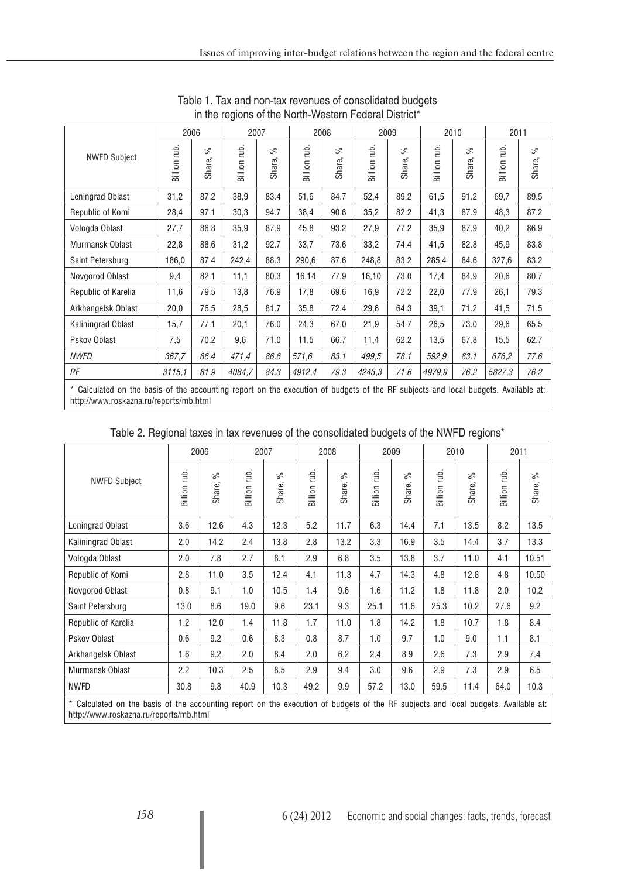|                                                                                                                                    | 2006               |              | 2007               |              |                    | 2008         |                    | 2009         |                 | 2010         | 2011            |              |
|------------------------------------------------------------------------------------------------------------------------------------|--------------------|--------------|--------------------|--------------|--------------------|--------------|--------------------|--------------|-----------------|--------------|-----------------|--------------|
| <b>NWFD Subject</b>                                                                                                                | <b>Billion</b> rub | వ్<br>Share, | <b>Billion</b> rub | వ్<br>Share, | <b>Billion</b> rub | వ్<br>Share, | <b>Billion</b> rub | వ్<br>Share, | tub.<br>Billion | వ్<br>Share, | rub.<br>Billion | వ్<br>Share, |
| Leningrad Oblast                                                                                                                   | 31,2               | 87.2         | 38,9               | 83.4         | 51,6               | 84.7         | 52,4               | 89.2         | 61,5            | 91.2         | 69,7            | 89.5         |
| Republic of Komi                                                                                                                   | 28,4               | 97.1         | 30,3               | 94.7         | 38,4               | 90.6         | 35,2               | 82.2         | 41,3            | 87.9         | 48,3            | 87.2         |
| Vologda Oblast                                                                                                                     | 27,7               | 86.8         | 35,9               | 87.9         | 45,8               | 93.2         | 27,9               | 77.2         | 35,9            | 87.9         | 40,2            | 86.9         |
| Murmansk Oblast                                                                                                                    | 22,8               | 88.6         | 31,2               | 92.7         | 33,7               | 73.6         | 33,2               | 74.4         | 41,5            | 82.8         | 45,9            | 83.8         |
| Saint Petersburg                                                                                                                   | 186,0              | 87.4         | 242,4              | 88.3         | 290,6              | 87.6         | 248,8              | 83.2         | 285,4           | 84.6         | 327,6           | 83.2         |
| Novgorod Oblast                                                                                                                    | 9,4                | 82.1         | 11,1               | 80.3         | 16,14              | 77.9         | 16,10              | 73.0         | 17,4            | 84.9         | 20,6            | 80.7         |
| Republic of Karelia                                                                                                                | 11,6               | 79.5         | 13,8               | 76.9         | 17,8               | 69.6         | 16,9               | 72.2         | 22,0            | 77.9         | 26,1            | 79.3         |
| Arkhangelsk Oblast                                                                                                                 | 20,0               | 76.5         | 28,5               | 81.7         | 35,8               | 72.4         | 29,6               | 64.3         | 39,1            | 71.2         | 41,5            | 71.5         |
| Kaliningrad Oblast                                                                                                                 | 15,7               | 77.1         | 20,1               | 76.0         | 24,3               | 67.0         | 21,9               | 54.7         | 26,5            | 73.0         | 29,6            | 65.5         |
| Pskov Oblast                                                                                                                       | 7,5                | 70.2         | 9,6                | 71.0         | 11,5               | 66.7         | 11,4               | 62.2         | 13,5            | 67.8         | 15,5            | 62.7         |
| <b>NWFD</b>                                                                                                                        | 367,7              | 86.4         | 471.4              | 86.6         | 571,6              | 83.1         | 499.5              | 78.1         | 592.9           | 83.1         | 676,2           | 77.6         |
| RF                                                                                                                                 | 3115,1             | 81.9         | 4084,7             | 84.3         | 4912,4             | 79.3         | 4243,3             | 71.6         | 4979,9          | 76.2         | 5827,3          | 76.2         |
| * Calculated on the basis of the accounting report on the execution of budgets of the RF subiects and local budgets. Available at: |                    |              |                    |              |                    |              |                    |              |                 |              |                 |              |

Table 1. Tax and non-tax revenues of consolidated budgets in the regions of the North-Western Federal District\*

\* Calculated on the basis of the accounting report on the execution of budgets of the RF subjects and local budgets. Available at: http://www.roskazna.ru/reports/mb.html

|                                                                                                                                    |              | 2006         |              | 2007         |              | 2008         |              | 2009         |              | 2010         | 2011         |                |
|------------------------------------------------------------------------------------------------------------------------------------|--------------|--------------|--------------|--------------|--------------|--------------|--------------|--------------|--------------|--------------|--------------|----------------|
| <b>NWFD Subject</b>                                                                                                                | Billion rub. | ಸಿ<br>Share, | Billion rub. | వ్<br>Share, | Billion rub. | ಸಿ<br>Share, | Billion rub. | ಸಿ<br>Share, | Billion rub. | వ్<br>Share, | Billion rub. | $\%$<br>Share, |
| Leningrad Oblast                                                                                                                   | 3.6          | 12.6         | 4.3          | 12.3         | 5.2          | 11.7         | 6.3          | 14.4         | 7.1          | 13.5         | 8.2          | 13.5           |
| Kaliningrad Oblast                                                                                                                 | 2.0          | 14.2         | 2.4          | 13.8         | 2.8          | 13.2         | 3.3          | 16.9         | 3.5          | 14.4         | 3.7          | 13.3           |
| Vologda Oblast                                                                                                                     | 2.0          | 7.8          | 2.7          | 8.1          | 2.9          | 6.8          | 3.5          | 13.8         | 3.7          | 11.0         | 4.1          | 10.51          |
| Republic of Komi                                                                                                                   | 2.8          | 11.0         | 3.5          | 12.4         | 4.1          | 11.3         | 4.7          | 14.3         | 4.8          | 12.8         | 4.8          | 10.50          |
| Novgorod Oblast                                                                                                                    | 0.8          | 9.1          | 1.0          | 10.5         | 1.4          | 9.6          | 1.6          | 11.2         | 1.8          | 11.8         | 2.0          | 10.2           |
| Saint Petersburg                                                                                                                   | 13.0         | 8.6          | 19.0         | 9.6          | 23.1         | 9.3          | 25.1         | 11.6         | 25.3         | 10.2         | 27.6         | 9.2            |
| Republic of Karelia                                                                                                                | 1.2          | 12.0         | 1.4          | 11.8         | 1.7          | 11.0         | 1.8          | 14.2         | 1.8          | 10.7         | 1.8          | 8.4            |
| Pskov Oblast                                                                                                                       | 0.6          | 9.2          | 0.6          | 8.3          | 0.8          | 8.7          | 1.0          | 9.7          | 1.0          | 9.0          | 1.1          | 8.1            |
| Arkhangelsk Oblast                                                                                                                 | 1.6          | 9.2          | 2.0          | 8.4          | 2.0          | 6.2          | 2.4          | 8.9          | 2.6          | 7.3          | 2.9          | 7.4            |
| Murmansk Oblast                                                                                                                    | 2.2          | 10.3         | 2.5          | 8.5          | 2.9          | 9.4          | 3.0          | 9.6          | 2.9          | 7.3          | 2.9          | 6.5            |
| <b>NWFD</b>                                                                                                                        | 30.8         | 9.8          | 40.9         | 10.3         | 49.2         | 9.9          | 57.2         | 13.0         | 59.5         | 11.4         | 64.0         | 10.3           |
| * Calculated on the basis of the accounting report on the execution of budgets of the RF subjects and local budgets. Available at: |              |              |              |              |              |              |              |              |              |              |              |                |

Table 2. Regional taxes in tax revenues of the consolidated budgets of the NWFD regions\*

\* Calculated on the basis of the accounting report on the execution of budgets of the RF subjects and local budgets. Available at: http://www.roskazna.ru/reports/mb.html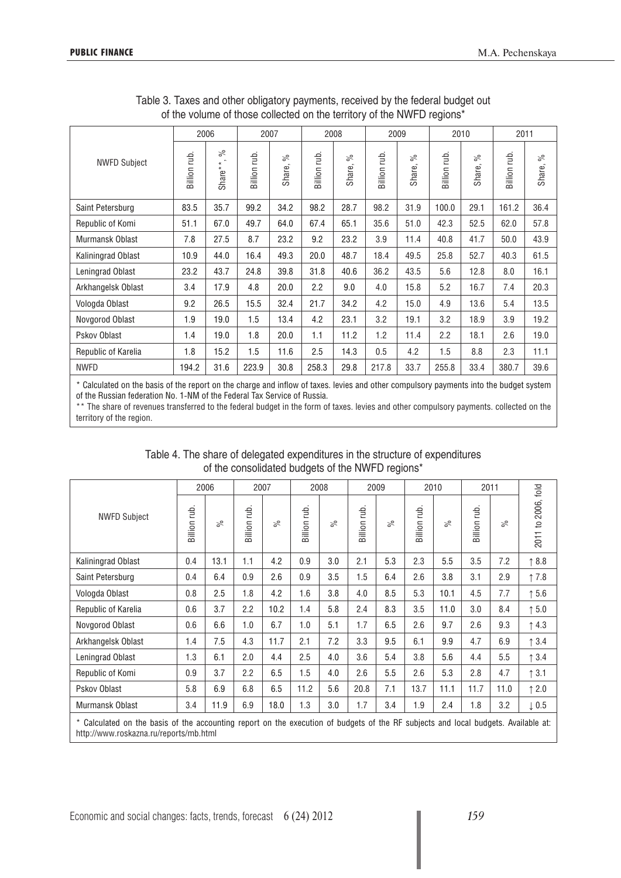|                     |              | 2006                       |              | 2007         |               | 2008         |              | 2009         |              | 2010         | 2011         |              |
|---------------------|--------------|----------------------------|--------------|--------------|---------------|--------------|--------------|--------------|--------------|--------------|--------------|--------------|
| <b>NWFD Subject</b> | Billion rub. | వ్<br>$\star$<br>Share $*$ | Billion rub. | వ్<br>Share, | Billion rub.  | వ్<br>Share, | Billion rub. | వ్<br>Share, | Billion rub. | న్<br>Share, | Billion rub. | వ్<br>Share, |
| Saint Petersburg    | 83.5         | 35.7                       | 99.2         | 34.2         | 98.2          | 28.7         | 98.2         | 31.9         | 100.0        | 29.1         | 161.2        | 36.4         |
| Republic of Komi    | 51.1         | 67.0                       | 49.7         | 64.0         | 67.4          | 65.1         | 35.6         | 51.0         | 42.3         | 52.5         | 62.0         | 57.8         |
| Murmansk Oblast     | 7.8          | 27.5                       | 8.7          | 23.2         | 9.2           | 23.2         | 3.9          | 11.4         | 40.8         | 41.7         | 50.0         | 43.9         |
| Kaliningrad Oblast  | 10.9         | 44.0                       | 16.4         | 49.3         | 20.0          | 48.7         | 18.4         | 49.5         | 25.8         | 52.7         | 40.3         | 61.5         |
| Leningrad Oblast    | 23.2         | 43.7                       | 24.8         | 39.8         | 31.8          | 40.6         | 36.2         | 43.5         | 5.6          | 12.8         | 8.0          | 16.1         |
| Arkhangelsk Oblast  | 3.4          | 17.9                       | 4.8          | 20.0         | 2.2           | 9.0          | 4.0          | 15.8         | 5.2          | 16.7         | 7.4          | 20.3         |
| Vologda Oblast      | 9.2          | 26.5                       | 15.5         | 32.4         | 21.7          | 34.2         | 4.2          | 15.0         | 4.9          | 13.6         | 5.4          | 13.5         |
| Novgorod Oblast     | 1.9          | 19.0                       | 1.5          | 13.4         | 4.2           | 23.1         | 3.2          | 19.1         | 3.2          | 18.9         | 3.9          | 19.2         |
| Pskov Oblast        | 1.4          | 19.0                       | 1.8          | 20.0         | 1.1           | 11.2         | 1.2          | 11.4         | 2.2          | 18.1         | 2.6          | 19.0         |
| Republic of Karelia | 1.8          | 15.2                       | 1.5          | 11.6         | 2.5           | 14.3         | 0.5          | 4.2          | 1.5          | 8.8          | 2.3          | 11.1         |
| <b>NWFD</b>         | 194.2        | 31.6                       | 223.9        | 30.8         | 258.3         | 29.8         | 217.8        | 33.7         | 255.8        | 33.4         | 380.7        | 39.6         |
| .                   | .            |                            |              | $\cdots$     | $\sim$ $\sim$ |              | $\cdots$     |              |              |              |              |              |

Table 3. Taxes and other obligatory payments, received by the federal budget out of the volume of those collected on the territory of the NWFD regions\*

Calculated on the basis of the report on the charge and inflow of taxes. levies and other compulsory payments into the budget system of the Russian federation No. 1-NM of the Federal Tax Service of Russia.

\*\* The share of revenues transferred to the federal budget in the form of taxes. levies and other compulsory payments. collected on the territory of the region.

| Table 4. The share of delegated expenditures in the structure of expenditures |
|-------------------------------------------------------------------------------|
| of the consolidated budgets of the NWFD regions*                              |

|                     |                                                                                                                                                                              | 2006 |             | 2007 |              | 2008      | 2009        |           |             | 2010      |              | 2011      |                    |
|---------------------|------------------------------------------------------------------------------------------------------------------------------------------------------------------------------|------|-------------|------|--------------|-----------|-------------|-----------|-------------|-----------|--------------|-----------|--------------------|
| <b>NWFD Subject</b> | Billion rub                                                                                                                                                                  | న్   | Billion rub | వ్   | Billion rub. | $\approx$ | Billion rub | $\approx$ | Billion rub | $\approx$ | Billion rub. | $\approx$ | 2011 to 2006, fold |
| Kaliningrad Oblast  | 0.4                                                                                                                                                                          | 13.1 | 1.1         | 4.2  | 0.9          | 3.0       | 2.1         | 5.3       | 2.3         | 5.5       | 3.5          | 7.2       | $\uparrow$ 8.8     |
| Saint Petersburg    | 0.4                                                                                                                                                                          | 6.4  | 0.9         | 2.6  | 0.9          | 3.5       | 1.5         | 6.4       | 2.6         | 3.8       | 3.1          | 2.9       | $\uparrow$ 7.8     |
| Vologda Oblast      | 0.8                                                                                                                                                                          | 2.5  | 1.8         | 4.2  | 1.6          | 3.8       | 4.0         | 8.5       | 5.3         | 10.1      | 4.5          | 7.7       | $\uparrow$ 5.6     |
| Republic of Karelia | 0.6                                                                                                                                                                          | 3.7  | 2.2         | 10.2 | 1.4          | 5.8       | 2.4         | 8.3       | 3.5         | 11.0      | 3.0          | 8.4       | $\uparrow$ 5.0     |
| Novgorod Oblast     | 0.6                                                                                                                                                                          | 6.6  | 1.0         | 6.7  | 1.0          | 5.1       | 1.7         | 6.5       | 2.6         | 9.7       | 2.6          | 9.3       | $\uparrow$ 4.3     |
| Arkhangelsk Oblast  | 1.4                                                                                                                                                                          | 7.5  | 4.3         | 11.7 | 2.1          | 7.2       | 3.3         | 9.5       | 6.1         | 9.9       | 4.7          | 6.9       | $\uparrow$ 3.4     |
| Leningrad Oblast    | 1.3                                                                                                                                                                          | 6.1  | 2.0         | 4.4  | 2.5          | 4.0       | 3.6         | 5.4       | 3.8         | 5.6       | 4.4          | 5.5       | $\uparrow$ 3.4     |
| Republic of Komi    | 0.9                                                                                                                                                                          | 3.7  | 2.2         | 6.5  | 1.5          | 4.0       | 2.6         | 5.5       | 2.6         | 5.3       | 2.8          | 4.7       | $\uparrow$ 3.1     |
| Pskov Oblast        | 5.8                                                                                                                                                                          | 6.9  | 6.8         | 6.5  | 11.2         | 5.6       | 20.8        | 7.1       | 13.7        | 11.1      | 11.7         | 11.0      | $\uparrow$ 2.0     |
| Murmansk Oblast     | 3.4                                                                                                                                                                          | 11.9 | 6.9         | 18.0 | 1.3          | 3.0       | 1.7         | 3.4       | 1.9         | 2.4       | 1.8          | 3.2       | $\downarrow$ 0.5   |
|                     | * Calculated on the basis of the accounting report on the execution of budgets of the RF subjects and local budgets. Available at:<br>http://www.roskazna.ru/reports/mb.html |      |             |      |              |           |             |           |             |           |              |           |                    |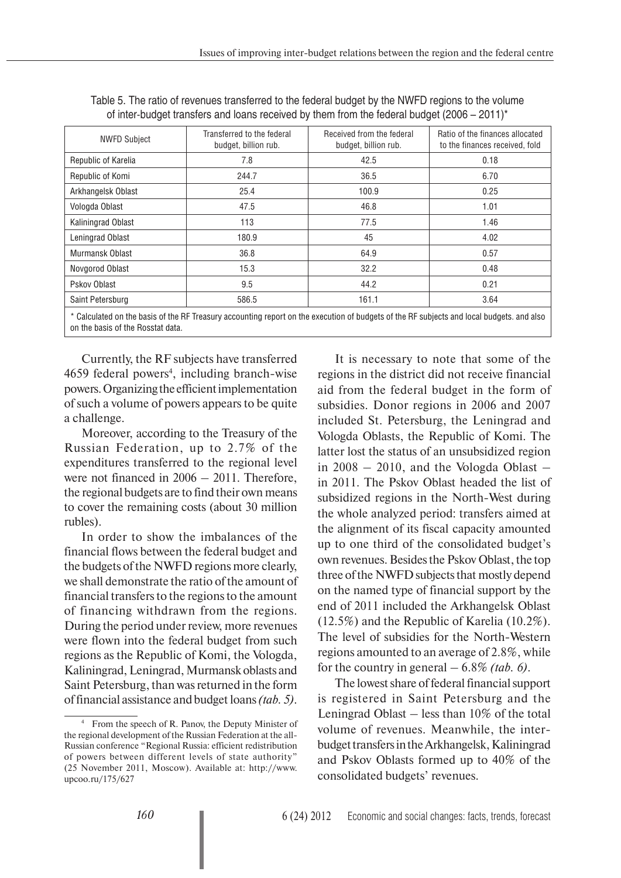| Table 5. The ratio of revenues transferred to the federal budget by the NWFD regions to the volume      |  |
|---------------------------------------------------------------------------------------------------------|--|
| of inter-budget transfers and loans received by them from the federal budget (2006 – 2011) <sup>*</sup> |  |

| <b>NWFD Subject</b> | Transferred to the federal<br>budget, billion rub. | Received from the federal<br>budget, billion rub. | Ratio of the finances allocated<br>to the finances received, fold                                                                         |
|---------------------|----------------------------------------------------|---------------------------------------------------|-------------------------------------------------------------------------------------------------------------------------------------------|
| Republic of Karelia | 7.8                                                | 42.5                                              | 0.18                                                                                                                                      |
| Republic of Komi    | 244.7                                              | 36.5                                              | 6.70                                                                                                                                      |
| Arkhangelsk Oblast  | 25.4                                               | 100.9                                             | 0.25                                                                                                                                      |
| Vologda Oblast      | 47.5                                               | 46.8                                              | 1.01                                                                                                                                      |
| Kaliningrad Oblast  | 113                                                | 77.5                                              | 1.46                                                                                                                                      |
| Leningrad Oblast    | 180.9                                              | 45                                                | 4.02                                                                                                                                      |
| Murmansk Oblast     | 36.8                                               | 64.9                                              | 0.57                                                                                                                                      |
| Novgorod Oblast     | 15.3                                               | 32.2                                              | 0.48                                                                                                                                      |
| Pskov Oblast        | 9.5                                                | 44.2                                              | 0.21                                                                                                                                      |
| Saint Petersburg    | 586.5                                              | 161.1                                             | 3.64                                                                                                                                      |
|                     |                                                    |                                                   | * Calculated on the basis of the RF Treasury accounting report on the execution of budgets of the RF subjects and local budgets, and also |

on the basis of the Rosstat data.

Currently, the RF subjects have transferred 4659 federal powers<sup>4</sup>, including branch-wise powers. Organizing the efficient implementation of such a volume of powers appears to be quite a challenge.

Moreover, according to the Treasury of the Russian Federation, up to 2.7% of the expenditures transferred to the regional level were not financed in  $2006 - 2011$ . Therefore, the regional budgets are to find their own means to cover the remaining costs (about 30 million rubles).

In order to show the imbalances of the financial flows between the federal budget and the budgets of the NWFD regions more clearly, we shall demonstrate the ratio of the amount of financial transfers to the regions to the amount of financing withdrawn from the regions. During the period under review, more revenues were flown into the federal budget from such regions as the Republic of Komi, the Vologda, Kaliningrad, Leningrad, Murmansk oblasts and Saint Petersburg, than was returned in the form of financial assistance and budget loans *(tab. 5)*.

It is necessary to note that some of the regions in the district did not receive financial aid from the federal budget in the form of subsidies. Donor regions in 2006 and 2007 included St. Petersburg, the Leningrad and Vologda Oblasts, the Republic of Komi. The latter lost the status of an unsubsidized region in  $2008 - 2010$ , and the Vologda Oblast – in 2011. The Pskov Oblast headed the list of subsidized regions in the North-West during the whole analyzed period: transfers aimed at the alignment of its fiscal capacity amounted up to one third of the consolidated budget's own revenues. Besides the Pskov Oblast, the top three of the NWFD subjects that mostly depend on the named type of financial support by the end of 2011 included the Arkhangelsk Oblast (12.5%) and the Republic of Karelia (10.2%). The level of subsidies for the North-Western regions amounted to an average of 2.8%, while for the country in general – 6.8% *(tab. 6)*.

The lowest share of federal financial support is registered in Saint Petersburg and the Leningrad Oblast – less than 10% of the total volume of revenues. Meanwhile, the interbudget transfers in the Arkhangelsk, Kaliningrad and Pskov Oblasts formed up to 40% of the consolidated budgets' revenues.

<sup>4</sup> From the speech of R. Panov, the Deputy Minister of the regional development of the Russian Federation at the all-Russian conference "Regional Russia: efficient redistribution of powers between different levels of state authority" (25 November 2011, Moscow). Available at: http://www. upcoo.ru/175/627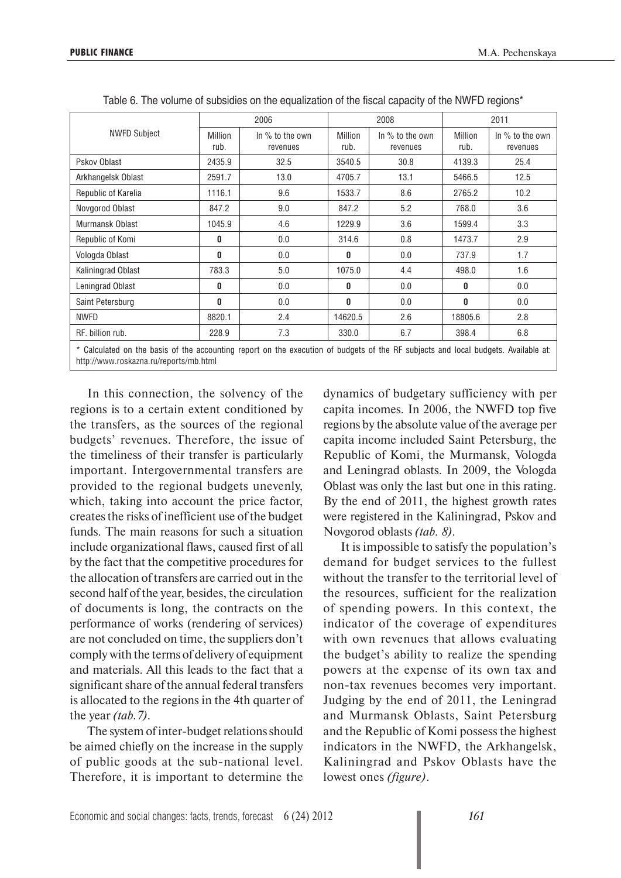|                                                                                                                                    |                 | 2006                          |                        | 2008                          | 2011            |                               |  |
|------------------------------------------------------------------------------------------------------------------------------------|-----------------|-------------------------------|------------------------|-------------------------------|-----------------|-------------------------------|--|
| <b>NWFD Subject</b>                                                                                                                | Million<br>rub. | In $%$ to the own<br>revenues | <b>Million</b><br>rub. | In $%$ to the own<br>revenues | Million<br>rub. | In $%$ to the own<br>revenues |  |
| Pskov Oblast                                                                                                                       | 2435.9          | 32.5                          | 3540.5                 | 30.8                          | 4139.3          | 25.4                          |  |
| Arkhangelsk Oblast                                                                                                                 | 2591.7          | 13.0                          | 4705.7                 | 13.1                          | 5466.5          | 12.5                          |  |
| Republic of Karelia                                                                                                                | 1116.1          | 9.6                           | 1533.7                 | 8.6                           | 2765.2          | 10.2                          |  |
| Novgorod Oblast                                                                                                                    | 847.2           | 9.0                           | 847.2                  | 5.2                           | 768.0           | 3.6                           |  |
| Murmansk Oblast                                                                                                                    | 1045.9          | 4.6                           | 1229.9                 | 3.6                           | 1599.4          | 3.3                           |  |
| Republic of Komi                                                                                                                   | 0               | 0.0                           | 314.6                  | 0.8                           | 1473.7          | 2.9                           |  |
| Vologda Oblast                                                                                                                     | 0               | 0.0                           | 0                      | 0.0                           | 737.9           | 1.7                           |  |
| Kaliningrad Oblast                                                                                                                 | 783.3           | 5.0                           | 1075.0                 | 4.4                           | 498.0           | 1.6                           |  |
| Leningrad Oblast                                                                                                                   | 0               | 0.0                           | 0                      | 0.0                           | 0               | 0.0                           |  |
| Saint Petersburg                                                                                                                   | 0               | 0.0                           | 0                      | 0.0                           | $\mathbf{0}$    | 0.0                           |  |
| <b>NWFD</b>                                                                                                                        | 8820.1          | 2.4                           | 14620.5                | 2.6                           | 18805.6         | 2.8                           |  |
| RF. billion rub.                                                                                                                   | 228.9           | 7.3                           | 330.0                  | 6.7                           | 398.4           | 6.8                           |  |
| * Calculated on the basis of the accounting report on the execution of budgets of the RF subjects and local budgets. Available at: |                 |                               |                        |                               |                 |                               |  |

Table 6. The volume of subsidies on the equalization of the fiscal capacity of the NWFD regions\*

http://www.roskazna.ru/reports/mb.html

In this connection, the solvency of the regions is to a certain extent conditioned by the transfers, as the sources of the regional budgets' revenues. Therefore, the issue of the timeliness of their transfer is particularly important. Intergovernmental transfers are provided to the regional budgets unevenly, which, taking into account the price factor, creates the risks of inefficient use of the budget funds. The main reasons for such a situation include organizational flaws, caused first of all by the fact that the competitive procedures for the allocation of transfers are carried out in the second half of the year, besides, the circulation of documents is long, the contracts on the performance of works (rendering of services) are not concluded on time, the suppliers don't comply with the terms of delivery of equipment and materials. All this leads to the fact that a significant share of the annual federal transfers is allocated to the regions in the 4th quarter of the year *(tab.7)*.

The system of inter-budget relations should be aimed chiefly on the increase in the supply of public goods at the sub-national level. Therefore, it is important to determine the

dynamics of budgetary sufficiency with per capita incomes. In 2006, the NWFD top five regions by the absolute value of the average per capita income included Saint Petersburg, the Republic of Komi, the Murmansk, Vologda and Leningrad oblasts. In 2009, the Vologda Oblast was only the last but one in this rating. By the end of 2011, the highest growth rates were registered in the Kaliningrad, Pskov and Novgorod oblasts *(tab. 8)*.

It is impossible to satisfy the population's demand for budget services to the fullest without the transfer to the territorial level of the resources, sufficient for the realization of spending powers. In this context, the indicator of the coverage of expenditures with own revenues that allows evaluating the budget's ability to realize the spending powers at the expense of its own tax and non-tax revenues becomes very important. Judging by the end of 2011, the Leningrad and Murmansk Oblasts, Saint Petersburg and the Republic of Komi possess the highest indicators in the NWFD, the Arkhangelsk, Kaliningrad and Pskov Oblasts have the lowest ones *(figure)*.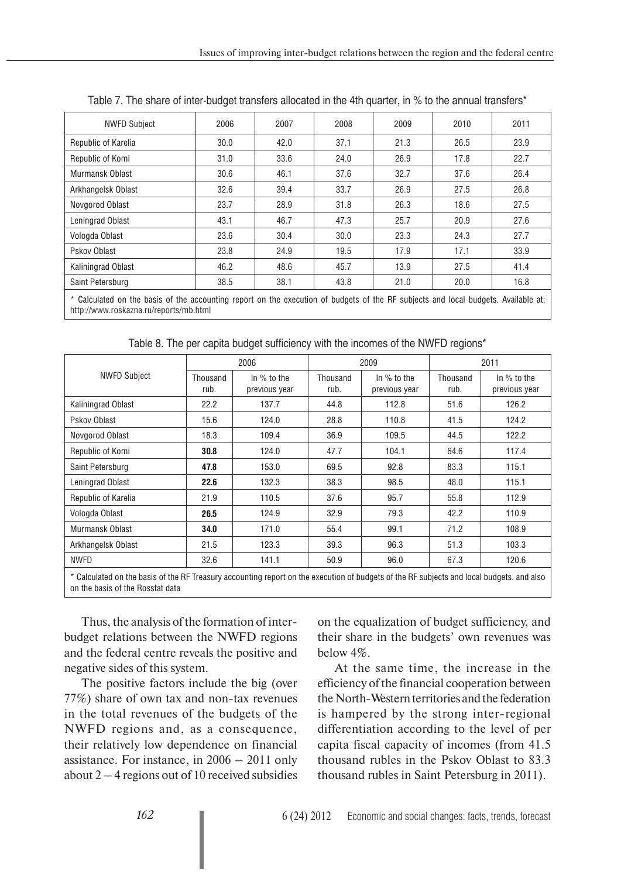| <b>NWFD Subject</b>                                                                                                                | 2006 | 2007 | 2008 | 2009 | 2010 | 2011 |
|------------------------------------------------------------------------------------------------------------------------------------|------|------|------|------|------|------|
| Republic of Karelia                                                                                                                | 30.0 | 42.0 | 37.1 | 21.3 | 26.5 | 23.9 |
| Republic of Komi                                                                                                                   | 31.0 | 33.6 | 24.0 | 26.9 | 17.8 | 22.7 |
| Murmansk Oblast                                                                                                                    | 30.6 | 46.1 | 37.6 | 32.7 | 37.6 | 26.4 |
| Arkhangelsk Oblast                                                                                                                 | 32.6 | 39.4 | 33.7 | 26.9 | 27.5 | 26.8 |
| Novgorod Oblast                                                                                                                    | 23.7 | 28.9 | 31.8 | 26.3 | 18.6 | 27.5 |
| Leningrad Oblast                                                                                                                   | 43.1 | 46.7 | 47.3 | 25.7 | 20.9 | 27.6 |
| Vologda Oblast                                                                                                                     | 23.6 | 30.4 | 30.0 | 23.3 | 24.3 | 27.7 |
| Pskov Oblast                                                                                                                       | 23.8 | 24.9 | 19.5 | 17.9 | 17.1 | 33.9 |
| <b>Kaliningrad Oblast</b>                                                                                                          | 46.2 | 48.6 | 45.7 | 13.9 | 27.5 | 41.4 |
| Saint Petersburg                                                                                                                   | 38.5 | 38.1 | 43.8 | 21.0 | 20.0 | 16.8 |
| * Calculated on the basis of the accounting report on the execution of budgets of the RF subjects and local budgets. Available at: |      |      |      |      |      |      |

| Table 7. The share of inter-budget transfers allocated in the 4th quarter, in % to the annual transfers* |  |  |  |  |
|----------------------------------------------------------------------------------------------------------|--|--|--|--|
|----------------------------------------------------------------------------------------------------------|--|--|--|--|

\* Calculated on the basis of the accounting report on the execution of budgets of the RF subjects and local budgets. Available at: http://www.roskazna.ru/reports/mb.html

Table 8. The per capita budget sufficiency with the incomes of the NWFD regions\*

|                                                                                                                                                                               |                  | 2006                           |                  | 2009                         |                  | 2011                         |
|-------------------------------------------------------------------------------------------------------------------------------------------------------------------------------|------------------|--------------------------------|------------------|------------------------------|------------------|------------------------------|
| <b>NWFD Subject</b>                                                                                                                                                           | Thousand<br>rub. | In $%$ to the<br>previous year | Thousand<br>rub. | In % to the<br>previous year | Thousand<br>rub. | In % to the<br>previous year |
| <b>Kaliningrad Oblast</b>                                                                                                                                                     | 22.2             | 137.7                          | 44.8             | 112.8                        | 51.6             | 126.2                        |
| Pskov Oblast                                                                                                                                                                  | 15.6             | 124.0                          | 28.8             | 110.8                        | 41.5             | 124.2                        |
| Novgorod Oblast                                                                                                                                                               | 18.3             | 109.4                          | 36.9             | 109.5                        | 44.5             | 122.2                        |
| Republic of Komi                                                                                                                                                              | 30.8             | 124.0                          | 47.7             | 104.1                        | 64.6             | 117.4                        |
| Saint Petersburg                                                                                                                                                              | 47.8             | 153.0                          | 69.5             | 92.8                         | 83.3             | 115.1                        |
| Leningrad Oblast                                                                                                                                                              | 22.6             | 132.3                          | 38.3             | 98.5                         | 48.0             | 115.1                        |
| Republic of Karelia                                                                                                                                                           | 21.9             | 110.5                          | 37.6             | 95.7                         | 55.8             | 112.9                        |
| Vologda Oblast                                                                                                                                                                | 26.5             | 124.9                          | 32.9             | 79.3                         | 42.2             | 110.9                        |
| Murmansk Oblast                                                                                                                                                               | 34.0             | 171.0                          | 55.4             | 99.1                         | 71.2             | 108.9                        |
| Arkhangelsk Oblast                                                                                                                                                            | 21.5             | 123.3                          | 39.3             | 96.3                         | 51.3             | 103.3                        |
| <b>NWFD</b>                                                                                                                                                                   | 32.6             | 141.1                          | 50.9             | 96.0                         | 67.3             | 120.6                        |
| * Calculated on the basis of the RF Treasury accounting report on the execution of budgets of the RF subjects and local budgets, and also<br>on the basis of the Rosstat data |                  |                                |                  |                              |                  |                              |

Thus, the analysis of the formation of interbudget relations between the NWFD regions and the federal centre reveals the positive and negative sides of this system.

The positive factors include the big (over 77%) share of own tax and non-tax revenues in the total revenues of the budgets of the NWFD regions and, as a consequence, their relatively low dependence on financial assistance. For instance, in 2006 – 2011 only about  $2 - 4$  regions out of 10 received subsidies

on the equalization of budget sufficiency, and their share in the budgets' own revenues was below 4%.

At the same time, the increase in the efficiency of the financial cooperation between the North-Western territories and the federation is hampered by the strong inter-regional differentiation according to the level of per capita fiscal capacity of incomes (from 41.5 thousand rubles in the Pskov Oblast to 83. 3 thousand rubles in Saint Petersburg in 2011).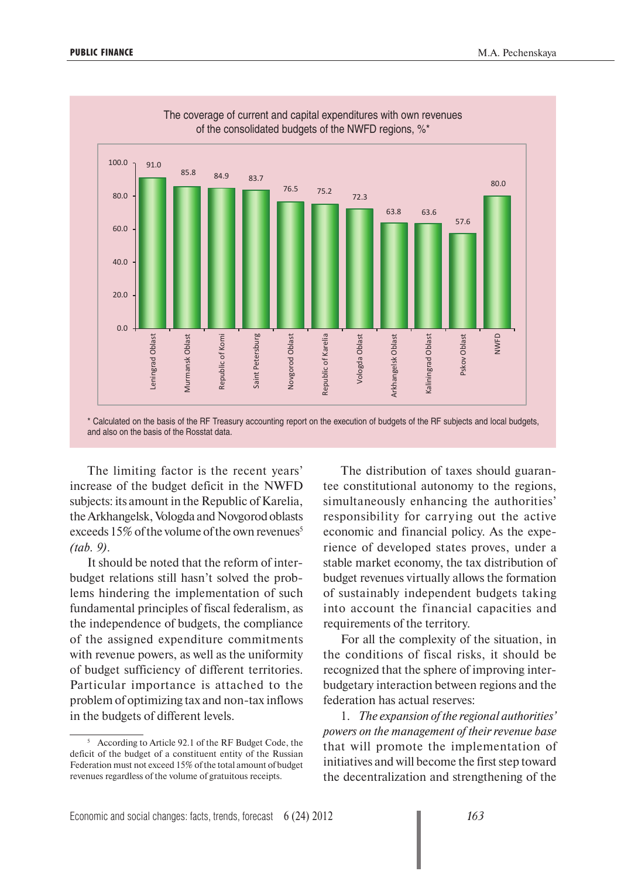

The limiting factor is the recent years' increase of the budget deficit in the NWFD subjects: its amount in the Republic of Karelia, the Arkhangelsk, Vologda and Novgorod oblasts exceeds  $15\%$  of the volume of the own revenues<sup>5</sup> *(tab. 9)*.

It should be noted that the reform of interbudget relations still hasn't solved the problems hindering the implementation of such fundamental principles of fiscal federalism, as the independence of budgets, the compliance of the assigned expenditure commitments with revenue powers, as well as the uniformity of budget sufficiency of different territories. Particular importance is attached to the problem of optimizing tax and non-tax inflows in the budgets of different levels.

The distribution of taxes should guarantee constitutional autonomy to the regions, simultaneously enhancing the authorities' responsibility for carrying out the active economic and financial policy. As the experience of developed states proves, under a stable market economy, the tax distribution of budget revenues virtually allows the formation of sustainably independent budgets taking into account the financial capacities and requirements of the territory.

For all the complexity of the situation, in the conditions of fiscal risks, it should be recognized that the sphere of improving interbudgetary interaction between regions and the federation has actual reserves:

1. *The expansion of the regional authorities' powers on the management of their revenue base* that will promote the implementation of initiatives and will become the first step toward the decentralization and strengthening of the

<sup>5</sup> According to Article 92.1 of the RF Budget Code, the deficit of the budget of a constituent entity of the Russian Federation must not exceed 15% of the total amount of budget revenues regardless of the volume of gratuitous receipts.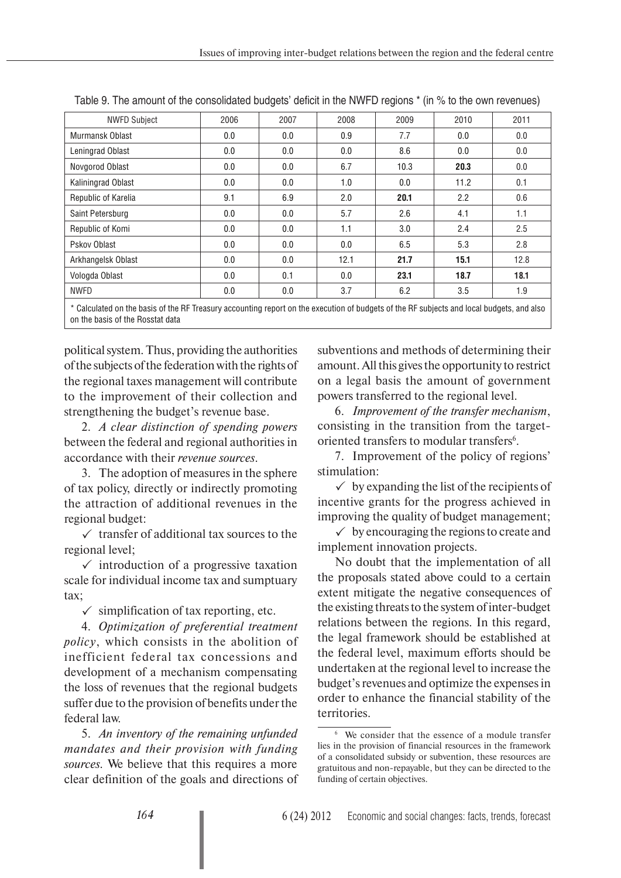| <b>NWFD Subject</b>                                                                                                                       | 2006 | 2007 | 2008 | 2009 | 2010             | 2011 |
|-------------------------------------------------------------------------------------------------------------------------------------------|------|------|------|------|------------------|------|
| Murmansk Oblast                                                                                                                           | 0.0  | 0.0  | 0.9  | 7.7  | 0.0              | 0.0  |
| Leningrad Oblast                                                                                                                          | 0.0  | 0.0  | 0.0  | 8.6  | 0.0              | 0.0  |
| Novgorod Oblast                                                                                                                           | 0.0  | 0.0  | 6.7  | 10.3 | 20.3             | 0.0  |
| Kaliningrad Oblast                                                                                                                        | 0.0  | 0.0  | 1.0  | 0.0  | 11.2             | 0.1  |
| Republic of Karelia                                                                                                                       | 9.1  | 6.9  | 2.0  | 20.1 | $2.2\phantom{0}$ | 0.6  |
| Saint Petersburg                                                                                                                          | 0.0  | 0.0  | 5.7  | 2.6  | 4.1              | 1.1  |
| Republic of Komi                                                                                                                          | 0.0  | 0.0  | 1.1  | 3.0  | 2.4              | 2.5  |
| Pskov Oblast                                                                                                                              | 0.0  | 0.0  | 0.0  | 6.5  | 5.3              | 2.8  |
| Arkhangelsk Oblast                                                                                                                        | 0.0  | 0.0  | 12.1 | 21.7 | 15.1             | 12.8 |
| Vologda Oblast                                                                                                                            | 0.0  | 0.1  | 0.0  | 23.1 | 18.7             | 18.1 |
| <b>NWFD</b>                                                                                                                               | 0.0  | 0.0  | 3.7  | 6.2  | 3.5              | 1.9  |
| * Calculated on the basis of the RF Treasury accounting report on the execution of budgets of the RF subjects and local budgets, and also |      |      |      |      |                  |      |

Table 9. The amount of the consolidated budgets' deficit in the NWFD regions \* (in % to the own revenues)

\* Calculated on the basis of the RF Treasury accounting report on the execution of budgets of the RF subjects and local budgets, and also on the basis of the Rosstat data

political system. Thus, providing the authorities of the subjects of the federation with the rights of the regional taxes management will contribute to the improvement of their collection and strengthening the budget's revenue base.

2. *A clear distinction of spending powers* between the federal and regional authorities in accordance with their *revenue sources*.

3. The adoption of measures in the sphere of tax policy, directly or indirectly promoting the attraction of additional revenues in the regional budget:

 $\checkmark$  transfer of additional tax sources to the regional level;

 $\checkmark$  introduction of a progressive taxation scale for individual income tax and sumptuary tax;

 $\checkmark$  simplification of tax reporting, etc.

4. *Optimization of preferential treatment policy*, which consists in the abolition of inefficient federal tax concessions and development of a mechanism compensating the loss of revenues that the regional budgets suffer due to the provision of benefits under the federal law.

5. *An inventory of the remaining unfunded mandates and their provision with funding sources.* We believe that this requires a more clear definition of the goals and directions of subventions and methods of determining their amount. All this gives the opportunity to restrict on a legal basis the amount of government powers transferred to the regional level.

6. *Improvement of the transfer mechanism*, consisting in the transition from the targetoriented transfers to modular transfers<sup>6</sup>.

7. Improvement of the policy of regions' stimulation:

 $\checkmark$  by expanding the list of the recipients of incentive grants for the progress achieved in improving the quality of budget management;

 $\checkmark$  by encouraging the regions to create and implement innovation projects.

No doubt that the implementation of all the proposals stated above could to a certain extent mitigate the negative consequences of the existing threats to the system of inter-budget relations between the regions. In this regard, the legal framework should be established at the federal level, maximum efforts should be undertaken at the regional level to increase the budget's revenues and optimize the expenses in order to enhance the financial stability of the territories.

<sup>6</sup> We consider that the essence of a module transfer lies in the provision of financial resources in the framework of a consolidated subsidy or subvention, these resources are gratuitous and non-repayable, but they can be directed to the funding of certain objectives.